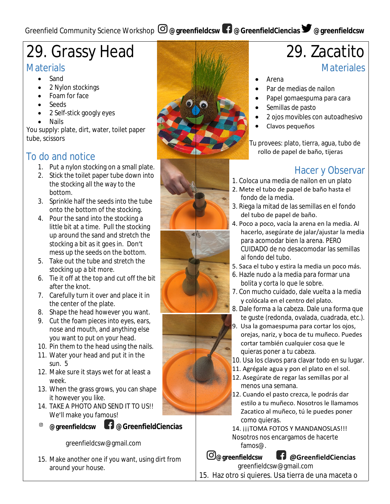# 29. Grassy Head

#### **Materials**

- Sand
- 2 Nylon stockings
- Foam for face
- Seeds
- 2 Self-stick googly eyes
- Nails

You supply: plate, dirt, water, toilet paper tube, scissors

# To do and notice

- 1. Put a nylon stocking on a small plate.
- 2. Stick the toilet paper tube down into the stocking all the way to the bottom.
- 3. Sprinkle half the seeds into the tube onto the bottom of the stocking.
- 4. Pour the sand into the stocking a little bit at a time. Pull the stocking up around the sand and stretch the stocking a bit as it goes in. Don't mess up the seeds on the bottom.
- 5. Take out the tube and stretch the stocking up a bit more.
- 6. Tie it off at the top and cut off the bit after the knot.
- 7. Carefully turn it over and place it in the center of the plate.
- 8. Shape the head however you want.
- 9. Cut the foam pieces into eyes, ears, nose and mouth, and anything else you want to put on your head.
- 10. Pin them to the head using the nails.
- 11. Water your head and put it in the sun. 5
- 12. Make sure it stays wet for at least a week.
- 13. When the grass grows, you can shape it however you like.
- 14. TAKE A PHOTO AND SEND IT TO US!! We'll make you famous!
- $\circledcirc$ 
	- **@greenfieldcsw @GreenfieldCiencias**

greenfieldcsw@gmail.com

15. Make another one if you want, using dirt from around your house.



# 29. Zacatito **Materiales**

- Arena
- Par de medias de nailon
- Papel gomaespuma para cara
- Semillas de pasto
- 2 ojos movibles con autoadhesivo
- Clavos pequeños

Tu provees: plato, tierra, agua, tubo de rollo de papel de baño, tijeras

# Hacer y Observar

- 1. Coloca una media de nailon en un plato
- 2. Mete el tubo de papel de baño hasta el fondo de la media.
- 3. Riega la mitad de las semillas en el fondo del tubo de papel de baño.
- 4. Poco a poco, vacía la arena en la media. Al hacerlo, asegúrate de jalar/ajustar la media para acomodar bien la arena. PERO CUIDADO de no desacomodar las semillas al fondo del tubo.
- 5. Saca el tubo y estira la media un poco más.
- 6. Hazle nudo a la media para formar una bolita y corta lo que le sobre.
- 7. Con mucho cuidado, dale vuelta a la media y colócala en el centro del plato.
- 8. Dale forma a la cabeza. Dale una forma que te guste (redonda, ovalada, cuadrada, etc.).
- 9. Usa la gomaespuma para cortar los ojos, orejas, nariz, y boca de tu muñeco. Puedes cortar también cualquier cosa que le quieras poner a tu cabeza.
- 10. Usa los clavos para clavar todo en su lugar.
- 11. Agrégale agua y pon el plato en el sol.
- 12. Asegúrate de regar las semillas por al menos una semana.
- 12. Cuando el pasto crezca, le podrás dar estilo a tu muñeco. Nosotros le llamamos Zacatico al muñeco, tú le puedes poner como quieras.

14. ¡¡¡TOMA FOTOS Y MANDANOSLAS!!! Nosotros nos encargamos de hacerte famos@.

**@greenfieldcsw @GreenfieldCiencias**

greenfieldcsw@gmail.com 15. Haz otro si quieres. Usa tierra de una maceta o